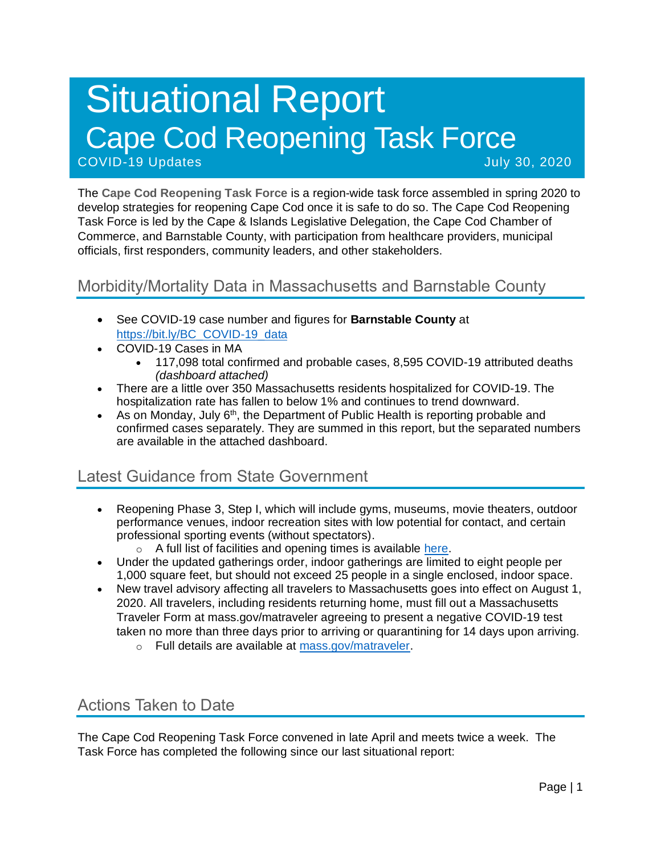# Situational Report Cape Cod Reopening Task Force COVID-19 Updates July 30, 2020

The **Cape Cod Reopening Task Force** is a region-wide task force assembled in spring 2020 to develop strategies for reopening Cape Cod once it is safe to do so. The Cape Cod Reopening Task Force is led by the Cape & Islands Legislative Delegation, the Cape Cod Chamber of Commerce, and Barnstable County, with participation from healthcare providers, municipal officials, first responders, community leaders, and other stakeholders.

### Morbidity/Mortality Data in Massachusetts and Barnstable County

- See COVID-19 case number and figures for **Barnstable County** at [https://bit.ly/BC\\_COVID-19\\_data](https://bit.ly/BC_COVID-19_data)
- COVID-19 Cases in MA
	- 117,098 total confirmed and probable cases, 8,595 COVID-19 attributed deaths *(dashboard attached)*
- There are a little over 350 Massachusetts residents hospitalized for COVID-19. The hospitalization rate has fallen to below 1% and continues to trend downward.
- As on Monday, July 6<sup>th</sup>, the Department of Public Health is reporting probable and confirmed cases separately. They are summed in this report, but the separated numbers are available in the attached dashboard.

# Latest Guidance from State Government

- Reopening Phase 3, Step I, which will include gyms, museums, movie theaters, outdoor performance venues, indoor recreation sites with low potential for contact, and certain professional sporting events (without spectators).
	- o A full list of facilities and opening times is available [here.](https://www.mass.gov/info-details/reopening-when-can-my-business-reopen)
- Under the updated gatherings order, indoor gatherings are limited to eight people per 1,000 square feet, but should not exceed 25 people in a single enclosed, indoor space.
- New travel advisory affecting all travelers to Massachusetts goes into effect on August 1, 2020. All travelers, including residents returning home, must fill out a Massachusetts Traveler Form at mass.gov/matraveler agreeing to present a negative COVID-19 test taken no more than three days prior to arriving or quarantining for 14 days upon arriving.
	- o Full details are available at [mass.gov/matraveler.](http://mass.gov/matraveler)

# Actions Taken to Date

The Cape Cod Reopening Task Force convened in late April and meets twice a week. The Task Force has completed the following since our last situational report: